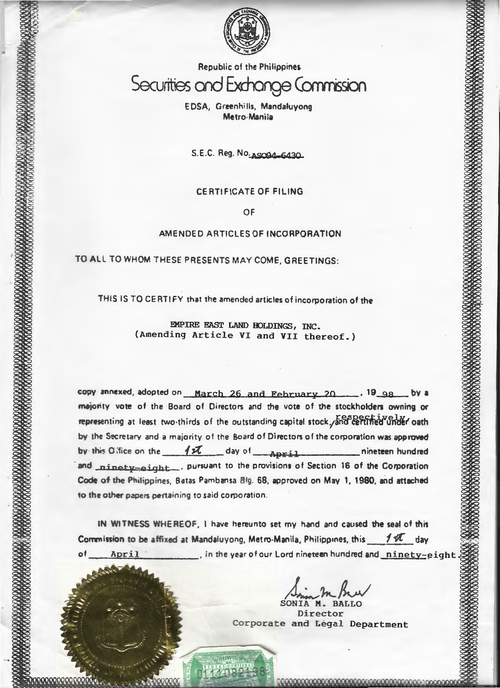

# Republic of the Philippines Securities and Exchange Commission

E OSA, Green hi lis, Mandaluyong Metro-Manila

S.E.C. Reg. No. 150916430

#### CERTIFICATE OF FILING

OF

#### AMENDED ARTICLES OF INCORPORATION

TO All TO WHOM THESE PRESENTS MAY COME. GREETINGS:

THIS IS TO CERTIFY that the amended articles of incorporation of the

EMPIRE EAST LAND HOLDINGS, INC. (Amending Article VI and VII thereof.)

copy annexed, adopted on March 26 and February 20 ........... 19 98 ... by a majority vote of the Board of Directors and the vote of the stockholders owning or representing at least two thirds of the outstanding capital stock, and certified under oath by the Secretary and a majority of the Board of Directors of the corporation was approved by this Gifice on the 1x day of April nineteen hundred and ninety-eight.... pursuant to the provisions of Section 16 of the Corporation Code of the Pnilippines, Batas Pambansa Blg. 68, approved on May 1, 1980. and attached to the other papers pertaining to said corporation.

tN WlTNESS WHEREOF, l have hereunto set my hand and caused the seat of this Commission to be affixed at Mandaluyong, Metro-Manila, Philippines, this  $f \times L$  day of **April** . in the year of our Lord nineteen hundred and ninety-eight

)~~fiv/ SONIA M. BALLO

Director Corporate and Legal Department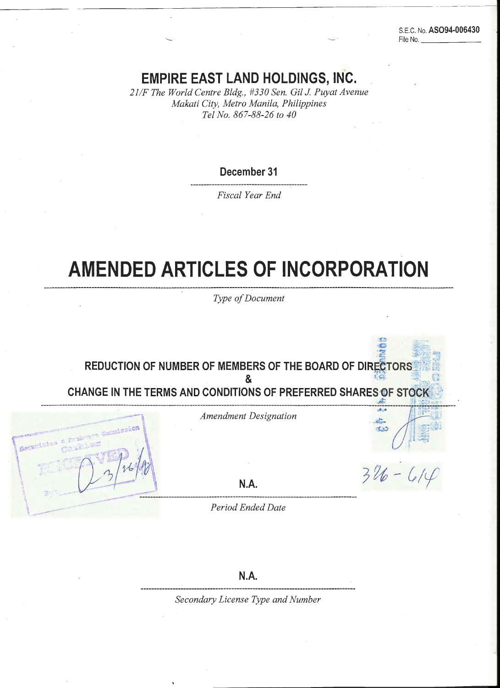S.E.C. No. AS094-006430 File No.

# EMPIRE EAST LAND HOLDINGS, INC.

:'

*:* 

\

**The contracts** of the contract of the contract of the contract of the contract of the contract of the contract of the contract of the contract of the contract of the contract of the contract of the contract of the contrac

*21/F The World Centre Bldg., #330 Sen. Gil* J *Puyat Avenue Makati City, Metro Manila, Philippines Tel No. 867-88-26 to 40* 

December 31

*Fiscal Year End* 

# AMENDED ARTICLES OF INCORPORATION

*Type of Document* 

REDUCTION OF NUMBER OF MEMBERS OF THE BOARD OF DIRECTORS  $\mathbf{R}$  . And a set of  $\mathbf{R}$  is the set of  $\mathbf{R}$  is the set of  $\mathbf{R}$ CHANGE IN THE TERMS AND CONDITIONS OF PREFERRED SHARES OF STOCK

*Amendment Designation* **discription** *<sub>1</sub>* 

------------------------------------------------ ----------------------------------------------------------------- ---------- ----------------·- ~r----~------ ~~con. ':~ ~· --~o··• \_., •. , -~-·;.,, .... ,·: ~;:l'·o::-J,;;., ,~«• . r ' .. · .··.:.-

~ :~:;z~: ~:i

is.

 $R.A.$ 

'\ :'~ -, :. c ·\_ (~ . ' . . . --·------·-·-·-·----------·-·---

. ~- ------·---------· . *dEnded Date* -----*Perzo* ---

N.A.

*Secondary License Type and Number*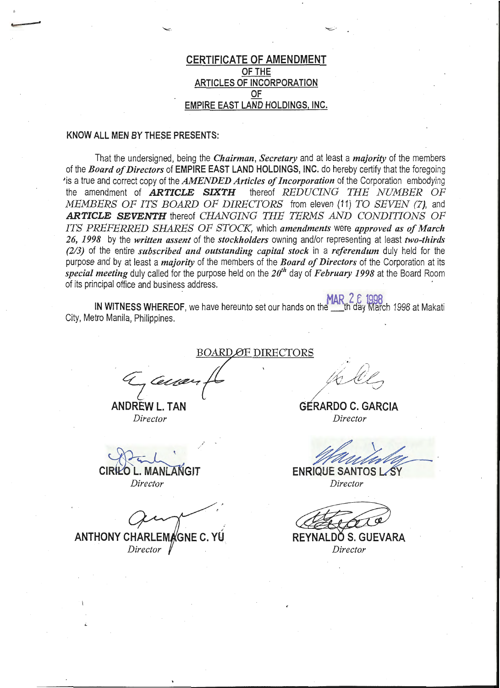# CERTIFICATE OF AMENDMENT OF THE ARTICLES OF INCORPORATION OF EMPIRE EAST LAND HOLDINGS, INC.

 $\overline{ }$ 

#### KNOW ALL MEN BY THESE PRESENTS:

 $\overline{\phantom{a}}$ 

That the undersigned, being the *Chairman, Secretary* and at least a *majority* of the members of the *Board of Directors* of EMPIRE EAST LAND HOLDINGS, INC. do hereby certify that the foregoing is a true and correct copy of the *AMENDED Articles of Incorporation* of the Corporation embodying the amendment of *ARTICLE SIXTH* thereof *REDUCING THE NUMBER OF MEMBERS OF ITS BOARD OF DIRECTORS* from eleven (11) *TO SEVEN (7},* and *ARTICLE SEVENTH* thereof *CHANGING THE TERMS AND CONDITIONS OF ITS PREFERRED SHARES OF STOCK,* which *amendments* were *approved as of March*  26, *1998* by the *written assent* of the *stockholders* owning and/or representing at least *two-thirds (213)* of the entire *subscribed and outstanding capital stock* in a *referendum* duly held for the purpose and by at least a *majority* of the members of the *Board of Directors* of the Corporation at its *special meeting* duly called for the purpose held on the *2rfh* day of *February 1998* at the Board Room of its principal office and business address. ·

IN WITNESS WHEREOF, we have hereunto set our hands on the the day March 1998 at Makati City, Metro Manila, Philippines.

BOARD OF DIRECTORS

~z~ <sup>~</sup>

ANDREW L. TAN GERARDO C. GARCIA *Director Director* 

**CIRILO L. MANLANGIT** *Director Director* 

**ANTHONY CHARLEMAGNE C. Y** *Director* 

**ENRIQUE SANTOS L.** 

REYNALDÓ S. GUEVARA *Director*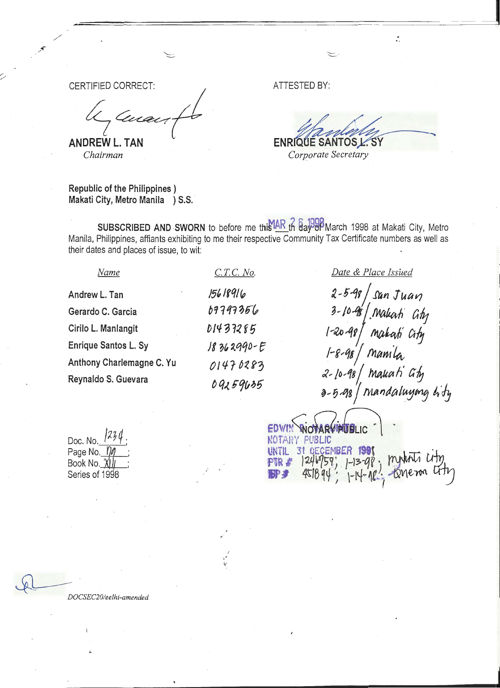CERTIFIED CORRECT: *!\_* 

 $\mathcal{L}$  , where  $\mathcal{L}$  is the contract of  $\mathcal{L}$ 

Juan ~~r

**ANDREW L. TAN**  *Chairman* 

Republic of the Philippines ) Makati City, Metro Manila ) S.S. ATTESTED BY:

ENRIQUE SANTOS L. SY *Corporate Secretary* 

ć,

SUBSCRIBED AND SWORN to before me this AR th as 1998 March 1998 at Makati City, Metro Manila, Philippines, affiants exhibiting to me their respective Community Tax Certificate numbers as well as their dates and places of issue, to wit:

Andrew L. Tan Gerardo C. Garcia Cirilo L. Manlangit Enrique Santos L. Sy Anthony Charlemagne C. Yu Reynaldo S. Guevara

*Name* 

,·

.. y

*C.TC. No.* 

2-5-98 | san Ju*an* 3-10-98 Makah Ghy  $1$ -20-48/ makati city  $^{\prime}$  mamila *J..-fo.-18* i *!MAAvrh'* a& . <sup>~</sup>*...* 5~qaj M~tntlatUJ~ *t.'lj* 

*Date* & *Place Issued* 

Doc. No.*\_* Page No.\_*10* Book No.  $\chi$  ) Series of 1998

EDWIN WOTARVINUBLIC NOTARY PUBLIC UNTIL 31 OECEMBER 1991 . MUINTI LITY **IP:** 4518 q4;  $\frac{1}{1}$  -14-18; term atty

*DOCSEC20/eelhi-amended* 

 $\Omega$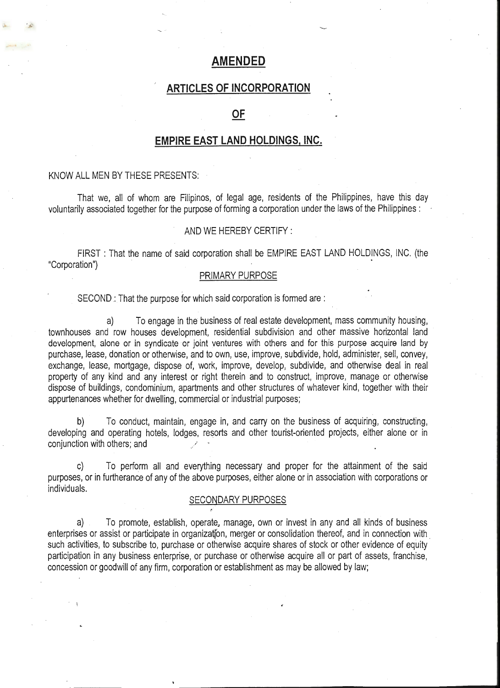# **AM.ENDED**

# **ARTICLES OF INCORPORATION**

# **OF**

## **EMPIRE EAST LAND HOLDINGS, INC.**

#### KNOW ALL MEN BY THESE PRESENTS:

""' ~ "-......--'

That we, all of whom are Filipinos, of legal age, residents of the Philippines, have this day voluntarily associated together for the purpose of forming a corporation under the laws of the Philippines :

#### AND WE HEREBY CERTIFY :

FIRST : That the name of said corporation shall be EMPIRE EAST LAND HOLDINGS, INC. (the "Corporation")

#### PRIMARY PURPOSE

SECOND : That the purpose for which said corporation is formed are :

a) To engage in the business of real estate development, mass community housing, townhouses and row houses development, residential subdivision and other massive horizontal land development, alone or in syndicate or joint ventures with others and for this purpose acquire land by purchase, lease, donation or otherwise, and to own, use, improve, subdivide, hold, administer, sell, convey, exchange, lease, mortgage, dispose of, work, improve, develop, subdivide, and otherwise deal in real property of any kind and any interest or right therein and to construct, improve, manage or otherwise dispose of buildings, condominium, apartments and other structures of whatever kind, together with their appurtenances whether for dwelling, commercial or industrial purposes;

b) To conduct, maintain, engage in, and carry on the business of acquiring, constructing, developing and operating hotels, lodges, resorts and other tourist-oriented projects, either alone or in conjunction with others; and

c) To perform all and everything necessary and proper for the attainment of the said purposes, or in furtherance of any of the above purposes, either alone or in association with corporations or individuals.

#### SECONDARY PURPOSES

a) To promote, establish, operate. manage, own or invest in any and all kinds of business enterprises or assist or participate in organization, merger or consolidation thereof, and in connection with such activities, to subscribe to, purchase or otherwise acquire shares of stock or other evidence of equity participation in any business enterprise, or purchase or otherwise acquire all or part of assets, franchise, concession or goodwill of any firm, corporation or establishment as may be allowed by law;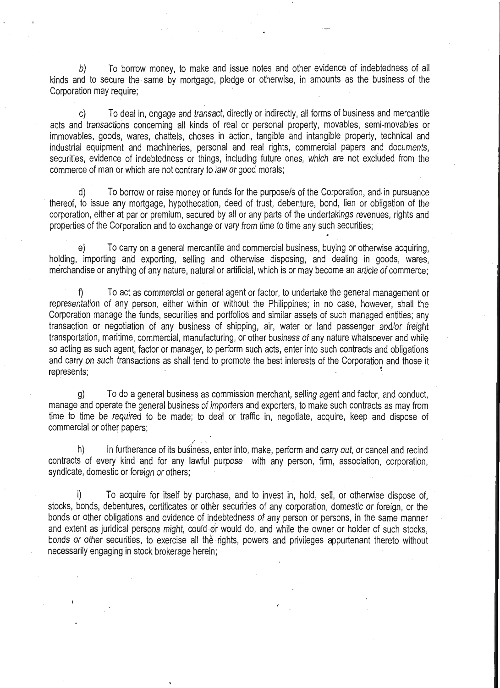b) To borrow money, to make and issue notes and other evidence of indebtedness of all kinds and to secure the same by mortgage, pledge or otherwise, in amounts as the business of the Corporation may require;

 $\sim$ 

c) To deal in, engage and transact, directly or indirectly, all forms of business and mercantile acts and transactions concerning all kinds of real or personal property, movables, semi-movables or immovables, goods, wares, chattels, choses in action, tangible and intangible property, technical and industrial equipment and machineries, personal and real rights, commercial papers and documents, securities, evidence of indebtedness or things, including future ones, which are not excluded from the commerce of man or which are not contrary to law or good morals;

d) To borrow or raise money or funds for the purpose/s of the Corporation, and. in pursuance thereof, to issue any mortgage, hypothecation, deed of trust, debenture, bond, lien or obligation of the corporation, either at par or premium, secured by all or any parts of the undertakings revenues, rights and properties of the Corporation and to exchange or vary from time to time any such securities;

e) To carry on a general mercantile and commercial business, buying or otherwise acquiring, holding, importing and exporting, selling and otherwise disposing, and dealing in goods, wares, merchandise or anything of any nature, natural or artificial, which is or may become an article of commerce;

To act as commercial or general agent or factor, to undertake the general management or representation of any person, either within or without the Philippines; in no case, however, shall the Corporation manage the funds, securities and portfolios and similar assets of such managed entities; any transaction or negotiation of any business of shipping, air, water or land passenger and/or freight transportation, maritime, commercial, manufacturing, or other business of any nature whatsoever and while so acting as such agent, factor or manager, to perform such acts, enter into such contracts and obligations and carry on such transactions as shall tend to promote the best interests of the Corporation and those it represents;

g) To do a general business as commission merchant, selling agent and factor, and conduct, manage and operate the general business of importers and exporters, to make such contracts as may from time to time be required to be made; to deal or traffic in, negotiate, acquire, keep and dispose of commercial or other papers;

h) In furtherance of its business, enter into, make, perform and carry out, or cancel and recind contracts of every kind and for any lawful purpose with any person, firm, association, corporation, syndicate, domestic or foreign or others;

i) To acquire for itself by purchase, and to invest in, hold, sell, or otherwise dispose of, stocks, bonds, debentures, certificates or other securities of any corporation, domestic or foreign, or the bonds or other obligations and evidence of indebtedness of any person or persons, in the same manner and extent as juridical persons might, could or would do, and while the owner or holder of such stocks, bonds or other securities, to exercise all the rights, powers and privileges appurtenant thereto without necessarily engaging in stock brokerage herein;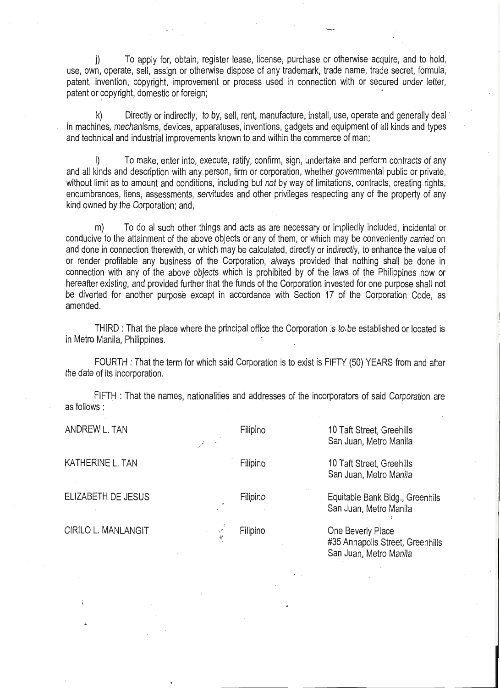j) To apply for, obtain, register lease, license, purchase or otherwise acquire, and to hold, use, own, operate, sell, assign or otherwise dispose of any trademark, trade name, trade secret, formula, patent, invention, copyright, improvement or process used in connection with or secured under letter, patent or copyright, domestic or foreign;

"--...-- '--

k) Directly or indirectly, to by, sell, rent, manufacture, install, use, operate and generally deal in machines, mechanisms, devices, apparatuses, inventions, gadgets and equipment of all kinds and types and technical and industrial improvements known to and within the commerce of man;

To make, enter into, execute, ratify, confirm, sign, undertake and perform contracts of any and all kinds and description with any person, firm or corporation, whether governmental public or private, without limit as to amount and conditions, including but not by way of limitations, contracts, creating rights, encumbrances, liens, assessments, servitudes and other privileges respecting any of the property of any kind owned by the Corporation; and,

m) To do al such other things and acts as are necessary or impliedly included, incidental or conducive to the attainment of the above objects or any of them, or which may be conveniently carried on and done in connection therewith, or which may be calculated, directly or indirectly, to enhance the value of or render profitable any business of the Corporation, always provided that nothing shall be done in connection with any of the above objects which is prohibited by of the laws of the Philippines now or hereafter existing, and provided further that the funds of the Corporation invested for one purpose shall not be diverted for another purpose except in accordance with Section 17 of the Corporation Code, as amended.

THIRD : That the place where the principal office the Corporation is to be established or located is in Metro Manila, Philippines.

FOURTH : That the term for which said Corporation is to exist is FIFTY (50) YEARS from and after the date of its incorporation.

FIFTH : That the names, nationalities and addresses of the incorporators of said Corporation are as follows:

KATHERINE L. TAN TAN Filipino 10 Taft Street, Greehills

CIRILO L. MANLANGIT

ANDREW L. TAN **Filipino** Filipino 10 Taft Street, Greehills San Juan, Metro Manila

San Juan, Metro Manila

ELIZABETH DE JESUS Filipino Equitable Bank Bldg., Greenhils San Juan, Metro Manila

> Filipino **One Beverly Place** ~· #35 Annapolis Street, Greenhills San Juan, Metro Manila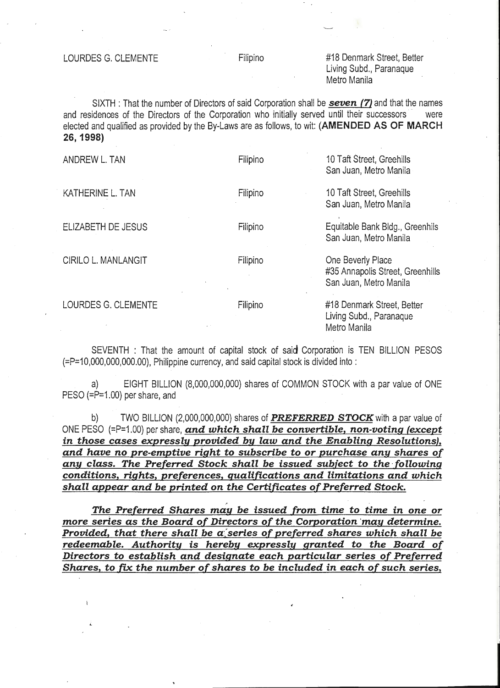"--...--

### #18 Denmark Street, Better Living Subd., Paranaque Metro Manila

.....\_\_.

SIXTH : That the number of Directors of said Corporation shall be *seven* **(7}** and that the names and residences of the Directors of the Corporation who initially served until their successors were elected and qualified as provided by the By-Laws are as follows, to wit: **(AMENDED AS OF MARCH 26, 1998)** 

| ANDREW L. TAN                                                                        | Filipino | 10 Taft Street, Greehills<br>San Juan, Metro Manila                                |
|--------------------------------------------------------------------------------------|----------|------------------------------------------------------------------------------------|
| KATHERINE L. TAN                                                                     | Filipino | 10 Taft Street, Greehills<br>San Juan, Metro Manila                                |
| ELIZABETH DE JESUS                                                                   | Filipino | Equitable Bank Bldg., Greenhils<br>San Juan, Metro Manila                          |
| CIRILO L. MANLANGIT                                                                  | Filipino | One Beverly Place<br>#35 Annapolis Street, Greenhills<br>San Juan, Metro Manila    |
| LOURDES G. CLEMENTE                                                                  | Filipino | #18 Denmark Street, Better<br>Living Subd., Paranaque<br>Metro Manila              |
| (=P=10,000,000,000.00), Philippine currency, and said capital stock is divided into: |          | SEVENTH: That the amount of capital stock of said Corporation is TEN BILLION PESOS |

a) EIGHT BILLION (8,000,000,000) shares of COMMON STOCK with a par value of ONE PESO (=P=1.00) per share, and

b) TWO BILLION (2,000,000,000) shares of *PREFERRED STOCK* with a par value of ONE PESO (=P=1.00) per share, *and which shall be convertible, non-voting (except in those cases expressly provided by law and the Enabling Resolutions}, and have no pre-emptive right to subscribe to or purchase any shares of*  any class. The Preferred Stock shall be issued subject to the following *conditions, rights, preferences, qualifications and limitations and which*  shall appear and be printed on the Certificates of Preferred Stock.

*The Preferred Shares mau be issued (rom time to time in one or more series as the Board of Directors of the Corporation ·may determine. Provided, that there shall be a series of preferred shares which shall be redeemable. Authority is hereby expressly granted to the Board of Directors to establish and designate each particular series of Preferred Shares, to [tx the number of shares to be included in each of such series,* 

. •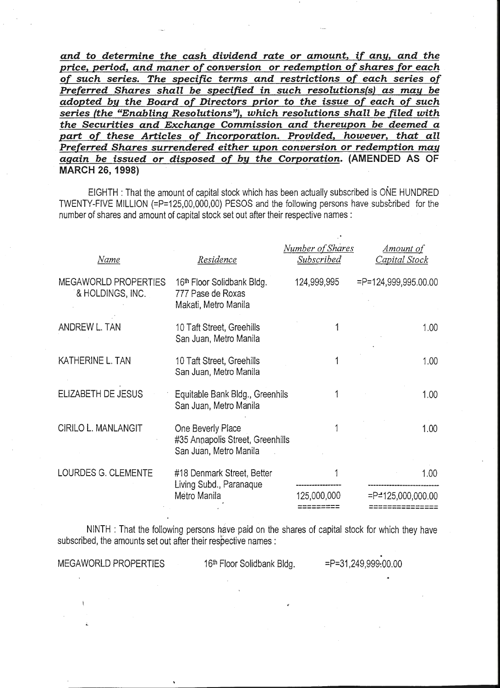*and to determine the cash dividend rate or amount, if any, and the price, period, and maner of conversion or redemption of shares for each of such series. The specific terms and restrictions of each series of Preferred Shares shall be specified in such resolutions(s) as may be adopted by the Board of Directors prior to the issue of each of such series (the "Enabling Resolutions"), which resolutions shall be filed with the Securities and Exchange Commission and thereupon be deemed a part of these Articles of Incorporation. Provided, however, that all Preferred Shares surrendered either upon conversion or redemption may again be issued or disposed of by the Corporation.* **(AMENDED AS OF MARCH 26, 1998)** 

'----..../

"-----

EIGHTH : That the amount of capital stock which has been actually subscribed is ONE HUNDRED TWENTY-FIVE MILLION {=P=125,00,000,00) PESOS and the following persons have subscribed for the number of shares and amount of capital stock set out after their respective names :

| Name                                     | Residence                                                                           | Number of Shares<br><b>Subscribed</b> | <u>Amount of</u><br>Capital Stock |
|------------------------------------------|-------------------------------------------------------------------------------------|---------------------------------------|-----------------------------------|
| MEGAWORLD PROPERTIES<br>& HOLDINGS, INC. | 16 <sup>th</sup> Floor Solidbank Bldg.<br>777 Pase de Roxas<br>Makati, Metro Manila | 124,999,995                           | $= P = 124,999,995.00.00$         |
| ANDREW L. TAN                            | 10 Taft Street, Greehills<br>San Juan, Metro Manila                                 |                                       | 1.00 <sub>1</sub>                 |
| KATHERINE L. TAN                         | 10 Taft Street, Greehills<br>San Juan, Metro Manila                                 |                                       | 1.00 <sub>1</sub>                 |
| ELIZABETH DE JESUS                       | Equitable Bank Bldg., Greenhils<br>San Juan, Metro Manila                           |                                       | 1.00                              |
| <b>CIRILO L. MANLANGIT</b>               | One Beverly Place<br>#35 Annapolis Street, Greenhills<br>San Juan, Metro Manila     |                                       | 1.00                              |
| LOURDES G. CLEMENTE                      | #18 Denmark Street, Better<br>Living Subd., Paranaque                               |                                       | 1.00                              |
|                                          | Metro Manila                                                                        | 125,000,000                           | $=$ P $=$ 125,000,000.00          |

NINTH : That the following persons have paid on the shares of capital stock for which they have subscribed, the amounts set out after their respective names :

MEGAWORLD PROPERTIES 16th Floor Solidbank Bldg. == P=31,249,999:00.00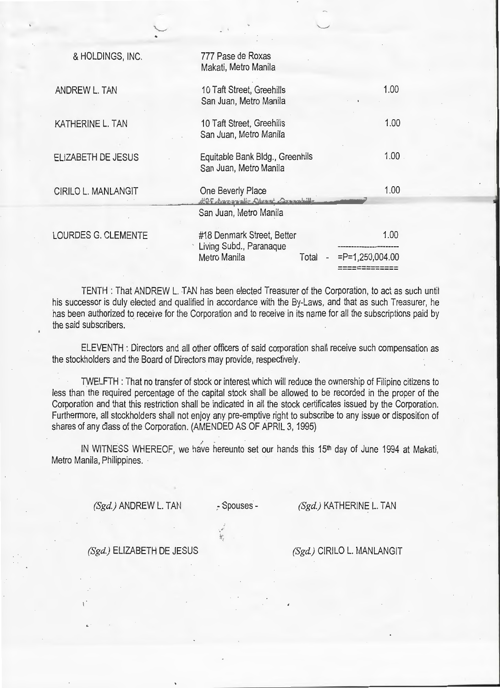| & HOLDINGS, INC.           | 777 Pase de Roxas<br>Makati, Metro Manila                                     |                    |
|----------------------------|-------------------------------------------------------------------------------|--------------------|
| ANDREW L. TAN              | 10 Taft Street, Greehills<br>San Juan, Metro Manila                           | 1.00 <sub>1</sub>  |
| KATHERINE L. TAN           | 10 Taft Street, Greehills<br>San Juan, Metro Manila                           | 1.00               |
| <b>ELIZABETH DE JESUS</b>  | Equitable Bank Bldg., Greenhils<br>San Juan, Metro Manila                     | 1.00               |
| <b>CIRILO L. MANLANGIT</b> | One Beverly Place<br>425 Annapolis Storat Committee<br>San Juan, Metro Manila | 1.00               |
| LOURDES G. CLEMENTE        | #18 Denmark Street, Better<br>Living Subd., Paranaque                         | 1.00               |
|                            | Metro Manila<br>Total                                                         | $=$ P=1,250,004.00 |

 $\sim$ <sup>~</sup>

TENTH : That ANDREW L. TAN has been elected Treasurer of the Corporation, to act as such until his successor is duly elected and qualified in accordance with the By-Laws, and that as such Treasurer, he has been authorized to receive for the Corporation and to receive in its name for all the subscriptions paid by the said subscribers.

ELEVENTH : Directors and all other officers of said corporation shall receive such compensation as the stockholders and the Board of Directors may provide, respectively.

TWELFTH : That no transfer of stock or interest which will reduce the ownership of Filipino citizens to less than the required percentage of the capital stock shall be allowed to be recorded in the proper of the Corporation and that this restriction shall be indicated in all the stock certificates issued by the Corporation. Furthermore, all stockholders shall not enjoy any pre-emptive right to subscribe to any issue or disposition of shares of any class of the Corporation. (AMENDED AS OF APRIL 3, 1995)

IN WITNESS WHEREOF, we have hereunto set our hands this 15<sup>th</sup> day of June 1994 at Makati, Metro Manila, Philippines.

*(Sgd.)* ANDREW L. TAN

:-Spouses-

·."

*(Sgd.)* KATHERINE L. TAN

-------------

 $\overline{\phantom{0}}$ 

*(Sgd.)* ELIZABETH DE JESUS

*(Sgd.)* CIRILO L. MANLANGIT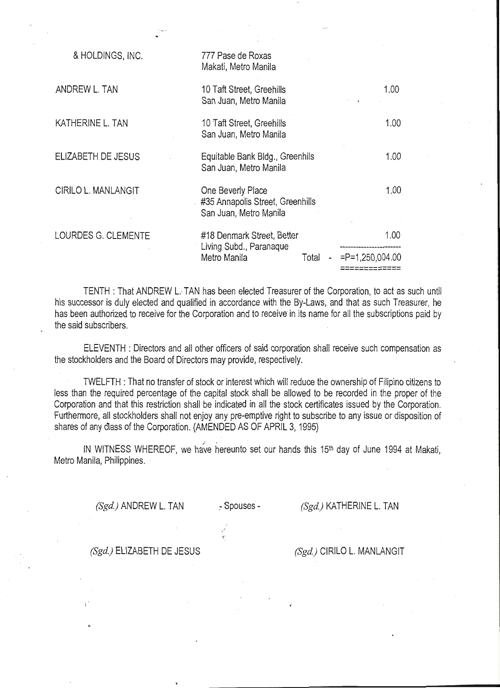| & HOLDINGS, INC.           | 777 Pase de Roxas<br>Makati, Metro Manila                                       |      |  |                    |
|----------------------------|---------------------------------------------------------------------------------|------|--|--------------------|
| ANDREW L. TAN              | 10 Taft Street, Greehills<br>San Juan, Metro Manila                             |      |  | 1.00               |
| KATHERINE L. TAN           | 10 Taft Street, Greehills<br>San Juan, Metro Manila                             |      |  | 1.00               |
| ELIZABETH DE JESUS         | Equitable Bank Bldg., Greenhils<br>San Juan, Metro Manila                       |      |  | 1.00               |
| <b>CIRILO L. MANLANGIT</b> | One Beverly Place<br>#35 Annapolis Street, Greenhills<br>San Juan, Metro Manila |      |  | 1.00               |
| LOURDES G. CLEMENTE        | #18 Denmark Street, Better<br>Living Subd., Paranaque                           | 1.00 |  |                    |
|                            | Metro Manila<br>Total                                                           |      |  | $=$ P=1,250,004.00 |
|                            |                                                                                 |      |  |                    |

..

TENTH : That ANDREW L. TAN has been elected Treasurer of the Corporation, to act as such until his successor is duly elected and qualified in accordance with the By-Laws, and that as such Treasurer, he has been authorized to receive for the Corporation and to receive in its name for all the subscriptions paid by the said subscribers.

ELEVENTH : Directors and all other officers of said corporation shall receive such compensation as the stockholders and the Board of Directors may provide, respectively.

TWELFTH : That no transfer of stock or interest which will reduce the ownership of Filipino citizens to less than the required percentage of the capital stock shall be allowed to be recorded in the proper of the Corporation and that this restriction shall be indicated in all the stock certificates issued by the Corporation. Furthermore, all stockholders shall not enjoy any pre-emptive right to subscribe to any issue or disposition of shares of any class of the Corporation. (AMENDED AS OF APRIL 3, 1995)

IN WITNESS WHEREOF, we have hereunto set our hands this 15<sup>th</sup> day of June 1994 at Makati, Metro Manila, Philippines.

*(Sgd.)* ANDREW L. TAN - Spouses - *(Sgd.)* KATHERINE L. TAN

 $-\infty$  :

*(Sgd.)* ELIZABETH DE JESUS *(Sgd.)* CIRILO L. MANLANGIT